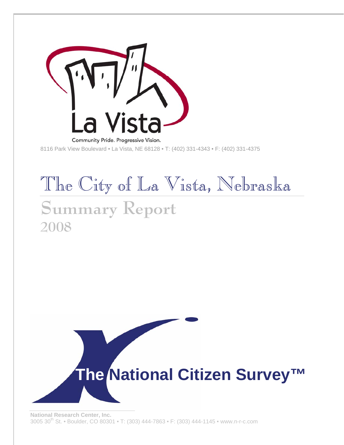

**2008** 

8116 Park View Boulevard • La Vista, NE 68128 • T: (402) 331-4343 • F: (402) 331-4375

# The City of La Vista, Nebraska **Summary Report**

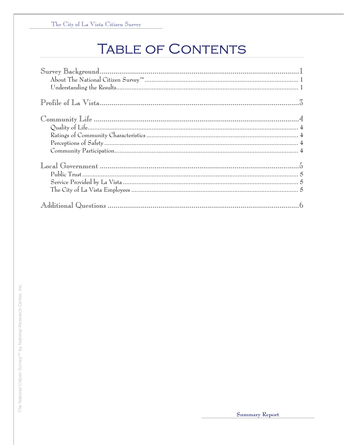# **TABLE OF CONTENTS**

| $\mathbb{P}\text{rofile of La Vista}, \qquad \qquad \frac{7}{9}$ |
|------------------------------------------------------------------|
|                                                                  |
|                                                                  |
|                                                                  |
|                                                                  |
|                                                                  |
|                                                                  |
|                                                                  |
|                                                                  |
|                                                                  |
|                                                                  |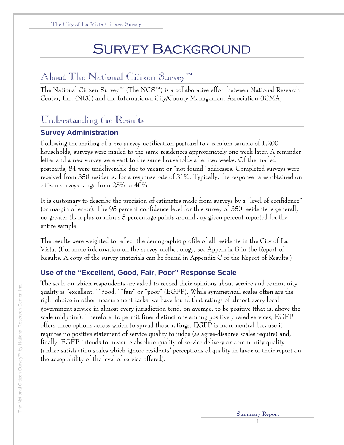# Survey Background

#### About The National Citizen Survey™

The National Citizen Survey™ (The NCS™) is a collaborative effort between National Research Center, Inc. (NRC) and the International City/County Management Association (ICMA).

#### Understanding the Results

#### **Survey Administration**

Following the mailing of a pre-survey notification postcard to a random sample of 1,200 households, surveys were mailed to the same residences approximately one week later. A reminder letter and a new survey were sent to the same households after two weeks. Of the mailed postcards, 84 were undeliverable due to vacant or "not found" addresses. Completed surveys were received from 350 residents, for a response rate of 31%. Typically, the response rates obtained on citizen surveys range from 25% to 40%.

It is customary to describe the precision of estimates made from surveys by a "level of confidence" (or margin of error). The 95 percent confidence level for this survey of 350 residents is generally no greater than plus or minus 5 percentage points around any given percent reported for the entire sample.

The results were weighted to reflect the demographic profile of all residents in the City of La Vista. (For more information on the survey methodology, see Appendix B in the Report of Results. A copy of the survey materials can be found in Appendix C of the Report of Results.)

#### **Use of the "Excellent, Good, Fair, Poor" Response Scale**

The scale on which respondents are asked to record their opinions about service and community quality is "excellent," "good," "fair" or "poor" (EGFP). While symmetrical scales often are the right choice in other measurement tasks, we have found that ratings of almost every local government service in almost every jurisdiction tend, on average, to be positive (that is, above the scale midpoint). Therefore, to permit finer distinctions among positively rated services, EGFP offers three options across which to spread those ratings. EGFP is more neutral because it requires no positive statement of service quality to judge (as agree-disagree scales require) and, finally, EGFP intends to measure absolute quality of service delivery or community quality (unlike satisfaction scales which ignore residents' perceptions of quality in favor of their report on the acceptability of the level of service offered).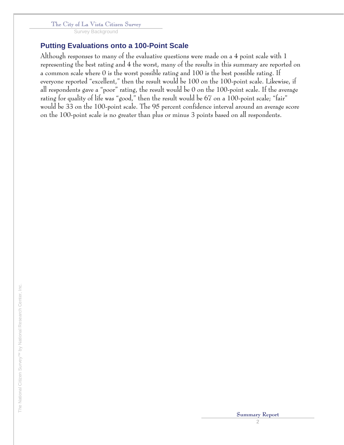The City of La Vista Citizen Survey

Survey Background

#### **Putting Evaluations onto a 100-Point Scale**

Although responses to many of the evaluative questions were made on a 4 point scale with 1 representing the best rating and 4 the worst, many of the results in this summary are reported on a common scale where 0 is the worst possible rating and 100 is the best possible rating. If everyone reported "excellent," then the result would be 100 on the 100-point scale. Likewise, if all respondents gave a "poor" rating, the result would be 0 on the 100-point scale. If the average rating for quality of life was "good," then the result would be 67 on a 100-point scale; "fair" would be 33 on the 100-point scale. The 95 percent confidence interval around an average score on the 100-point scale is no greater than plus or minus 3 points based on all respondents.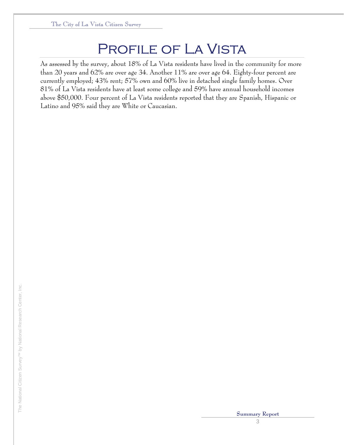### PROFILE OF LA VISTA

As assessed by the survey, about 18% of La Vista residents have lived in the community for more than 20 years and 62% are over age 34. Another 11% are over age 64. Eighty-four percent are currently employed; 43% rent; 57% own and 60% live in detached single family homes. Over 81% of La Vista residents have at least some college and 59% have annual household incomes above \$50,000. Four percent of La Vista residents reported that they are Spanish, Hispanic or Latino and 95% said they are White or Caucasian.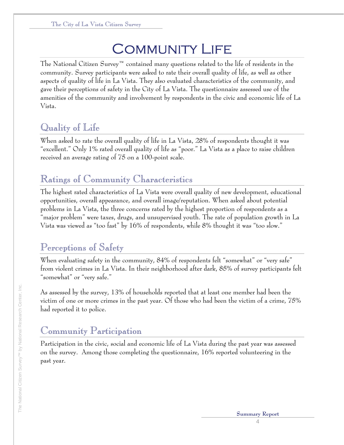# **COMMUNITY LIFE**

The National Citizen Survey™ contained many questions related to the life of residents in the community. Survey participants were asked to rate their overall quality of life, as well as other aspects of quality of life in La Vista. They also evaluated characteristics of the community, and gave their perceptions of safety in the City of La Vista. The questionnaire assessed use of the amenities of the community and involvement by respondents in the civic and economic life of La Vista.

### Quality of Life

When asked to rate the overall quality of life in La Vista, 28% of respondents thought it was "excellent." Only 1% rated overall quality of life as "poor." La Vista as a place to raise children received an average rating of 75 on a 100-point scale.

### Ratings of Community Characteristics

The highest rated characteristics of La Vista were overall quality of new development, educational opportunities, overall appearance, and overall image/reputation. When asked about potential problems in La Vista, the three concerns rated by the highest proportion of respondents as a "major problem" were taxes, drugs, and unsupervised youth. The rate of population growth in La Vista was viewed as "too fast" by 16% of respondents, while 8% thought it was "too slow."

### Perceptions of Safety

When evaluating safety in the community, 84% of respondents felt "somewhat" or "very safe" from violent crimes in La Vista. In their neighborhood after dark, 85% of survey participants felt "somewhat" or "very safe."

As assessed by the survey, 13% of households reported that at least one member had been the victim of one or more crimes in the past year. Of those who had been the victim of a crime, 75% had reported it to police.

### Community Participation

Participation in the civic, social and economic life of La Vista during the past year was assessed on the survey. Among those completing the questionnaire, 16% reported volunteering in the past year.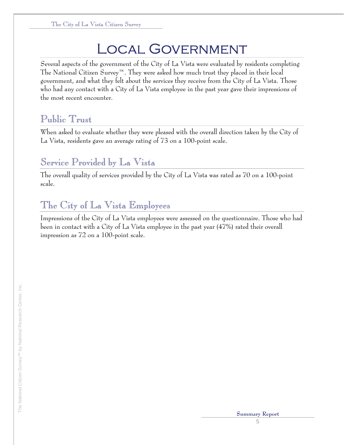# Local Government

Several aspects of the government of the City of La Vista were evaluated by residents completing The National Citizen Survey™. They were asked how much trust they placed in their local government, and what they felt about the services they receive from the City of La Vista. Those who had any contact with a City of La Vista employee in the past year gave their impressions of the most recent encounter.

### Public Trust

When asked to evaluate whether they were pleased with the overall direction taken by the City of La Vista, residents gave an average rating of 73 on a 100-point scale.

#### Service Provided by La Vista

The overall quality of services provided by the City of La Vista was rated as 70 on a 100-point scale.

#### The City of La Vista Employees

Impressions of the City of La Vista employees were assessed on the questionnaire. Those who had been in contact with a City of La Vista employee in the past year (47%) rated their overall impression as 72 on a 100-point scale.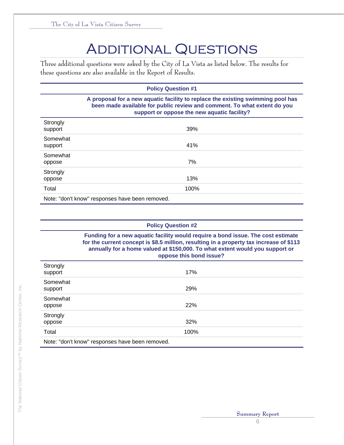# **ADDITIONAL QUESTIONS**

Three additional questions were asked by the City of La Vista as listed below. The results for these questions are also available in the Report of Results.

| <b>Policy Question #1</b>                       |                                                                                                                                                                                                            |  |  |
|-------------------------------------------------|------------------------------------------------------------------------------------------------------------------------------------------------------------------------------------------------------------|--|--|
|                                                 | A proposal for a new aquatic facility to replace the existing swimming pool has<br>been made available for public review and comment. To what extent do you<br>support or oppose the new aquatic facility? |  |  |
| Strongly<br>support                             | 39%                                                                                                                                                                                                        |  |  |
| Somewhat<br>support                             | 41%                                                                                                                                                                                                        |  |  |
| Somewhat<br>oppose                              | 7%                                                                                                                                                                                                         |  |  |
| Strongly<br>oppose                              | 13%                                                                                                                                                                                                        |  |  |
| Total                                           | 100%                                                                                                                                                                                                       |  |  |
| Note: "don't know" responses have been removed. |                                                                                                                                                                                                            |  |  |

| <b>Policy Question #2</b> |
|---------------------------|
|---------------------------|

**Funding for a new aquatic facility would require a bond issue. The cost estimate for the current concept is \$8.5 million, resulting in a property tax increase of \$113 annually for a home valued at \$150,000. To what extent would you support or oppose this bond issue?** 

| Strongly<br>support                             | 17%  |  |  |
|-------------------------------------------------|------|--|--|
| Somewhat<br>support                             | 29%  |  |  |
| Somewhat<br>oppose                              | 22%  |  |  |
| Strongly<br>oppose                              | 32%  |  |  |
| Total                                           | 100% |  |  |
| Note: "don't know" responses have been removed. |      |  |  |